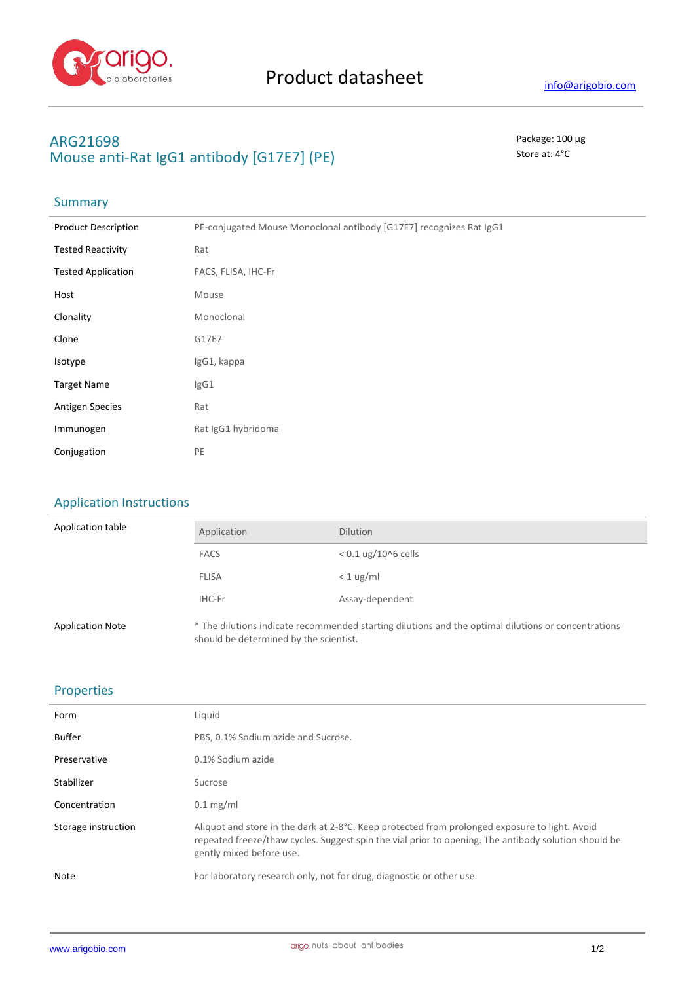

## **ARG21698** Package: 100 μg **Mouse anti-Rat IgG1 antibody [G17E7] (PE)** Store at: 4°C

## **Summary**

| <b>Product Description</b> | PE-conjugated Mouse Monoclonal antibody [G17E7] recognizes Rat IgG1 |
|----------------------------|---------------------------------------------------------------------|
| <b>Tested Reactivity</b>   | Rat                                                                 |
| <b>Tested Application</b>  | FACS, FLISA, IHC-Fr                                                 |
| Host                       | Mouse                                                               |
| Clonality                  | Monoclonal                                                          |
| Clone                      | G17E7                                                               |
| Isotype                    | IgG1, kappa                                                         |
| <b>Target Name</b>         | IgG1                                                                |
| <b>Antigen Species</b>     | Rat                                                                 |
| Immunogen                  | Rat IgG1 hybridoma                                                  |
| Conjugation                | PE                                                                  |

should be determined by the scientist.

## Application Instructions

| Application table       | Application  | <b>Dilution</b>                                                                                     |
|-------------------------|--------------|-----------------------------------------------------------------------------------------------------|
|                         | <b>FACS</b>  | $< 0.1$ ug/10^6 cells                                                                               |
|                         | <b>FLISA</b> | $< 1$ ug/ml                                                                                         |
|                         | IHC-Fr       | Assay-dependent                                                                                     |
| <b>Application Note</b> |              | * The dilutions indicate recommended starting dilutions and the optimal dilutions or concentrations |

Properties

| Form                | Liquid                                                                                                                                                                                                                             |
|---------------------|------------------------------------------------------------------------------------------------------------------------------------------------------------------------------------------------------------------------------------|
| <b>Buffer</b>       | PBS, 0.1% Sodium azide and Sucrose.                                                                                                                                                                                                |
| Preservative        | 0.1% Sodium azide                                                                                                                                                                                                                  |
| Stabilizer          | Sucrose                                                                                                                                                                                                                            |
| Concentration       | $0.1$ mg/ml                                                                                                                                                                                                                        |
| Storage instruction | Aliquot and store in the dark at 2-8°C. Keep protected from prolonged exposure to light. Avoid<br>repeated freeze/thaw cycles. Suggest spin the vial prior to opening. The antibody solution should be<br>gently mixed before use. |
| <b>Note</b>         | For laboratory research only, not for drug, diagnostic or other use.                                                                                                                                                               |